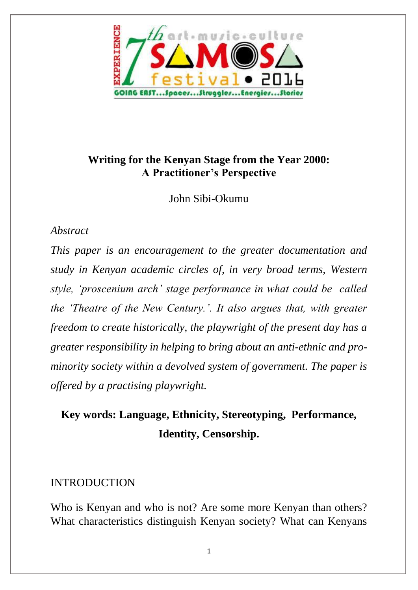

# **Writing for the Kenyan Stage from the Year 2000: A Practitioner's Perspective**

John Sibi-Okumu

#### *Abstract*

*This paper is an encouragement to the greater documentation and study in Kenyan academic circles of, in very broad terms, Western style, 'proscenium arch' stage performance in what could be called the 'Theatre of the New Century.'. It also argues that, with greater freedom to create historically, the playwright of the present day has a greater responsibility in helping to bring about an anti-ethnic and prominority society within a devolved system of government. The paper is offered by a practising playwright.* 

# **Key words: Language, Ethnicity, Stereotyping, Performance, Identity, Censorship.**

### INTRODUCTION

Who is Kenyan and who is not? Are some more Kenyan than others? What characteristics distinguish Kenyan society? What can Kenyans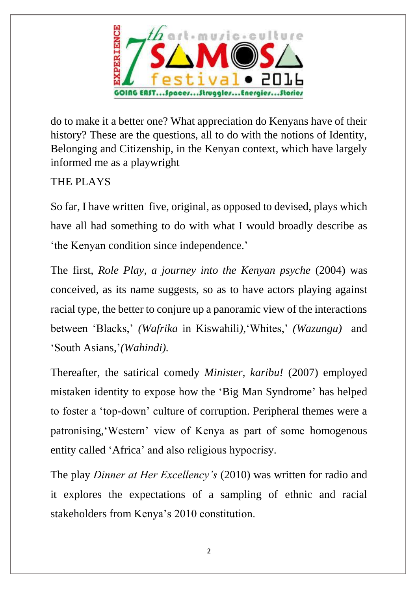

do to make it a better one? What appreciation do Kenyans have of their history? These are the questions, all to do with the notions of Identity, Belonging and Citizenship, in the Kenyan context, which have largely informed me as a playwright

# THE PLAYS

So far, I have written five, original, as opposed to devised, plays which have all had something to do with what I would broadly describe as 'the Kenyan condition since independence.'

The first, *Role Play, a journey into the Kenyan psyche* (2004) was conceived, as its name suggests, so as to have actors playing against racial type, the better to conjure up a panoramic view of the interactions between 'Blacks,' *(Wafrika* in Kiswahili*)*,'Whites,' *(Wazungu)* and 'South Asians,'*(Wahindi).*

Thereafter, the satirical comedy *Minister, karibu!* (2007) employed mistaken identity to expose how the 'Big Man Syndrome' has helped to foster a 'top-down' culture of corruption. Peripheral themes were a patronising,'Western' view of Kenya as part of some homogenous entity called 'Africa' and also religious hypocrisy.

The play *Dinner at Her Excellency's* (2010) was written for radio and it explores the expectations of a sampling of ethnic and racial stakeholders from Kenya's 2010 constitution.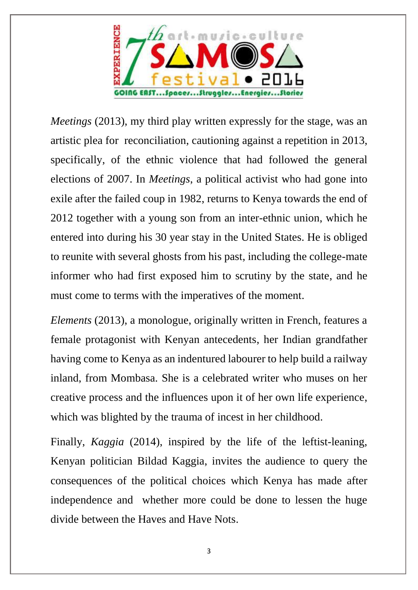

*Meetings* (2013), my third play written expressly for the stage, was an artistic plea for reconciliation, cautioning against a repetition in 2013, specifically, of the ethnic violence that had followed the general elections of 2007. In *Meetings*, a political activist who had gone into exile after the failed coup in 1982, returns to Kenya towards the end of 2012 together with a young son from an inter-ethnic union, which he entered into during his 30 year stay in the United States. He is obliged to reunite with several ghosts from his past, including the college-mate informer who had first exposed him to scrutiny by the state, and he must come to terms with the imperatives of the moment.

*Elements* (2013), a monologue, originally written in French, features a female protagonist with Kenyan antecedents, her Indian grandfather having come to Kenya as an indentured labourer to help build a railway inland, from Mombasa. She is a celebrated writer who muses on her creative process and the influences upon it of her own life experience, which was blighted by the trauma of incest in her childhood.

Finally, *Kaggia* (2014), inspired by the life of the leftist-leaning, Kenyan politician Bildad Kaggia, invites the audience to query the consequences of the political choices which Kenya has made after independence and whether more could be done to lessen the huge divide between the Haves and Have Nots.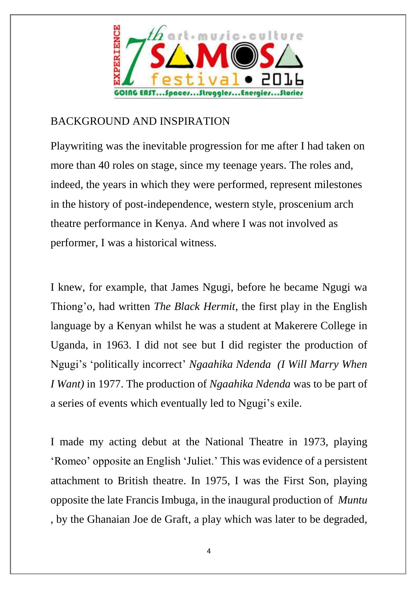

# BACKGROUND AND INSPIRATION

Playwriting was the inevitable progression for me after I had taken on more than 40 roles on stage, since my teenage years. The roles and, indeed, the years in which they were performed, represent milestones in the history of post-independence, western style, proscenium arch theatre performance in Kenya. And where I was not involved as performer, I was a historical witness.

I knew, for example, that James Ngugi, before he became Ngugi wa Thiong'o, had written *The Black Hermit*, the first play in the English language by a Kenyan whilst he was a student at Makerere College in Uganda, in 1963. I did not see but I did register the production of Ngugi's 'politically incorrect' *Ngaahika Ndenda (I Will Marry When I Want)* in 1977. The production of *Ngaahika Ndenda* was to be part of a series of events which eventually led to Ngugi's exile.

I made my acting debut at the National Theatre in 1973, playing 'Romeo' opposite an English 'Juliet.' This was evidence of a persistent attachment to British theatre. In 1975, I was the First Son, playing opposite the late Francis Imbuga, in the inaugural production of *Muntu* , by the Ghanaian Joe de Graft, a play which was later to be degraded,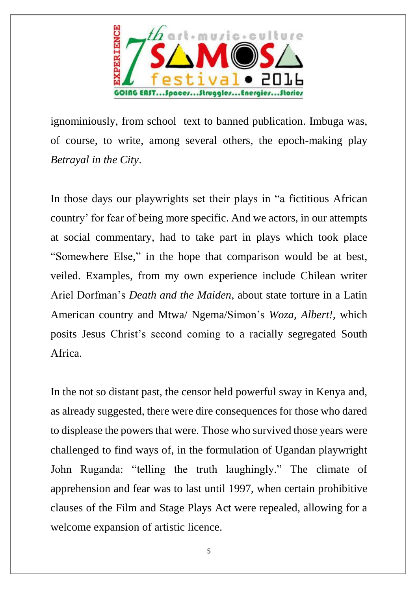

ignominiously, from school text to banned publication. Imbuga was, of course, to write, among several others, the epoch-making play *Betrayal in the City*.

In those days our playwrights set their plays in "a fictitious African country' for fear of being more specific. And we actors, in our attempts at social commentary, had to take part in plays which took place "Somewhere Else," in the hope that comparison would be at best, veiled. Examples, from my own experience include Chilean writer Ariel Dorfman's *Death and the Maiden*, about state torture in a Latin American country and Mtwa/ Ngema/Simon's *Woza, Albert!,* which posits Jesus Christ's second coming to a racially segregated South Africa.

In the not so distant past, the censor held powerful sway in Kenya and, as already suggested, there were dire consequences for those who dared to displease the powers that were. Those who survived those years were challenged to find ways of, in the formulation of Ugandan playwright John Ruganda: "telling the truth laughingly." The climate of apprehension and fear was to last until 1997, when certain prohibitive clauses of the Film and Stage Plays Act were repealed, allowing for a welcome expansion of artistic licence.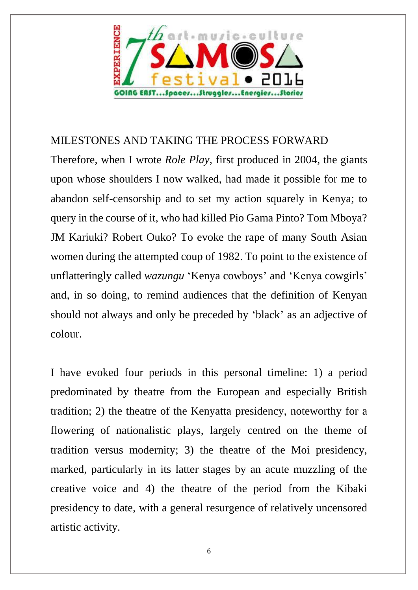

## MILESTONES AND TAKING THE PROCESS FORWARD

Therefore, when I wrote *Role Play*, first produced in 2004, the giants upon whose shoulders I now walked, had made it possible for me to abandon self-censorship and to set my action squarely in Kenya; to query in the course of it, who had killed Pio Gama Pinto? Tom Mboya? JM Kariuki? Robert Ouko? To evoke the rape of many South Asian women during the attempted coup of 1982. To point to the existence of unflatteringly called *wazungu* 'Kenya cowboys' and 'Kenya cowgirls' and, in so doing, to remind audiences that the definition of Kenyan should not always and only be preceded by 'black' as an adjective of colour.

I have evoked four periods in this personal timeline: 1) a period predominated by theatre from the European and especially British tradition; 2) the theatre of the Kenyatta presidency, noteworthy for a flowering of nationalistic plays, largely centred on the theme of tradition versus modernity; 3) the theatre of the Moi presidency, marked, particularly in its latter stages by an acute muzzling of the creative voice and 4) the theatre of the period from the Kibaki presidency to date, with a general resurgence of relatively uncensored artistic activity.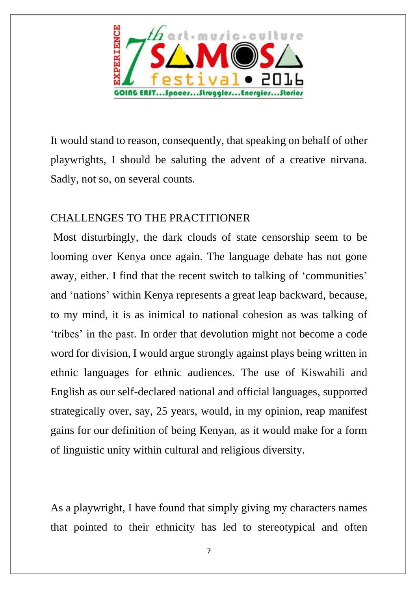

It would stand to reason, consequently, that speaking on behalf of other playwrights, I should be saluting the advent of a creative nirvana. Sadly, not so, on several counts.

# CHALLENGES TO THE PRACTITIONER

Most disturbingly, the dark clouds of state censorship seem to be looming over Kenya once again. The language debate has not gone away, either. I find that the recent switch to talking of 'communities' and 'nations' within Kenya represents a great leap backward, because, to my mind, it is as inimical to national cohesion as was talking of 'tribes' in the past. In order that devolution might not become a code word for division, I would argue strongly against plays being written in ethnic languages for ethnic audiences. The use of Kiswahili and English as our self-declared national and official languages, supported strategically over, say, 25 years, would, in my opinion, reap manifest gains for our definition of being Kenyan, as it would make for a form of linguistic unity within cultural and religious diversity.

As a playwright, I have found that simply giving my characters names that pointed to their ethnicity has led to stereotypical and often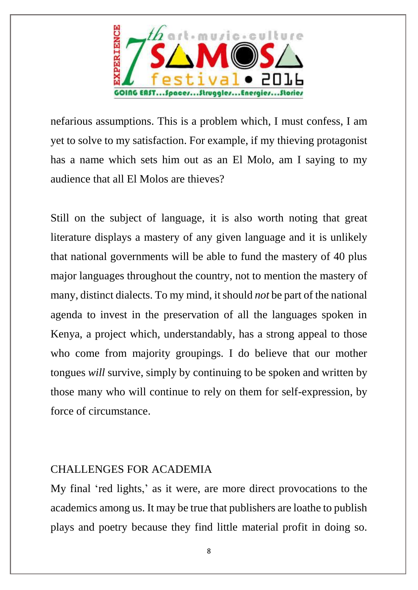

nefarious assumptions. This is a problem which, I must confess, I am yet to solve to my satisfaction. For example, if my thieving protagonist has a name which sets him out as an El Molo, am I saying to my audience that all El Molos are thieves?

Still on the subject of language, it is also worth noting that great literature displays a mastery of any given language and it is unlikely that national governments will be able to fund the mastery of 40 plus major languages throughout the country, not to mention the mastery of many, distinct dialects. To my mind, it should *not* be part of the national agenda to invest in the preservation of all the languages spoken in Kenya, a project which, understandably, has a strong appeal to those who come from majority groupings. I do believe that our mother tongues *will* survive, simply by continuing to be spoken and written by those many who will continue to rely on them for self-expression, by force of circumstance.

#### CHALLENGES FOR ACADEMIA

My final 'red lights,' as it were, are more direct provocations to the academics among us. It may be true that publishers are loathe to publish plays and poetry because they find little material profit in doing so.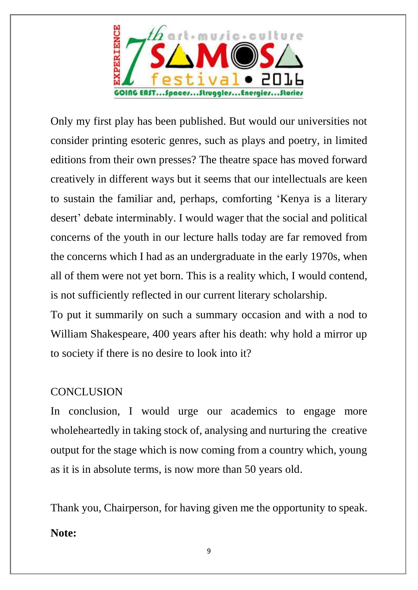

Only my first play has been published. But would our universities not consider printing esoteric genres, such as plays and poetry, in limited editions from their own presses? The theatre space has moved forward creatively in different ways but it seems that our intellectuals are keen to sustain the familiar and, perhaps, comforting 'Kenya is a literary desert' debate interminably. I would wager that the social and political concerns of the youth in our lecture halls today are far removed from the concerns which I had as an undergraduate in the early 1970s, when all of them were not yet born. This is a reality which, I would contend, is not sufficiently reflected in our current literary scholarship.

To put it summarily on such a summary occasion and with a nod to William Shakespeare, 400 years after his death: why hold a mirror up to society if there is no desire to look into it?

### **CONCLUSION**

In conclusion, I would urge our academics to engage more wholeheartedly in taking stock of, analysing and nurturing the creative output for the stage which is now coming from a country which, young as it is in absolute terms, is now more than 50 years old.

Thank you, Chairperson, for having given me the opportunity to speak. **Note:**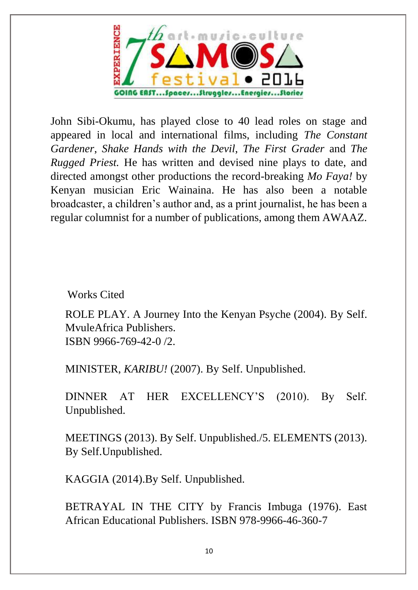

John Sibi-Okumu, has played close to 40 lead roles on stage and appeared in local and international films, including *The Constant Gardener*, *Shake Hands with the Devil*, *The First Grader* and *The Rugged Priest.* He has written and devised nine plays to date, and directed amongst other productions the record-breaking *Mo Faya!* by Kenyan musician Eric Wainaina. He has also been a notable broadcaster, a children's author and, as a print journalist, he has been a regular columnist for a number of publications, among them AWAAZ.

Works Cited

ROLE PLAY. A Journey Into the Kenyan Psyche (2004). By Self. MvuleAfrica Publishers. ISBN 9966-769-42-0 /2.

MINISTER, *KARIBU!* (2007). By Self. Unpublished.

DINNER AT HER EXCELLENCY'S (2010). By Self. Unpublished.

MEETINGS (2013). By Self. Unpublished./5. ELEMENTS (2013). By Self.Unpublished.

KAGGIA (2014).By Self. Unpublished.

BETRAYAL IN THE CITY by Francis Imbuga (1976). East African Educational Publishers. ISBN 978-9966-46-360-7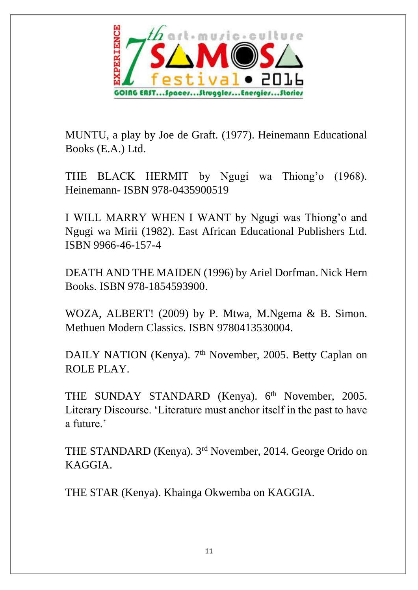

MUNTU, a play by Joe de Graft. (1977). Heinemann Educational Books (E.A.) Ltd.

THE BLACK HERMIT by Ngugi wa Thiong'o (1968). Heinemann- ISBN 978-0435900519

I WILL MARRY WHEN I WANT by Ngugi was Thiong'o and Ngugi wa Mirii (1982). East African Educational Publishers Ltd. ISBN 9966-46-157-4

DEATH AND THE MAIDEN (1996) by Ariel Dorfman. Nick Hern Books. ISBN 978-1854593900.

WOZA, ALBERT! (2009) by P. Mtwa, M.Ngema & B. Simon. Methuen Modern Classics. ISBN 9780413530004.

DAILY NATION (Kenya). 7<sup>th</sup> November, 2005. Betty Caplan on ROLE PLAY.

THE SUNDAY STANDARD (Kenya). 6<sup>th</sup> November, 2005. Literary Discourse. 'Literature must anchor itself in the past to have a future.'

THE STANDARD (Kenya). 3rd November, 2014. George Orido on KAGGIA.

THE STAR (Kenya). Khainga Okwemba on KAGGIA.